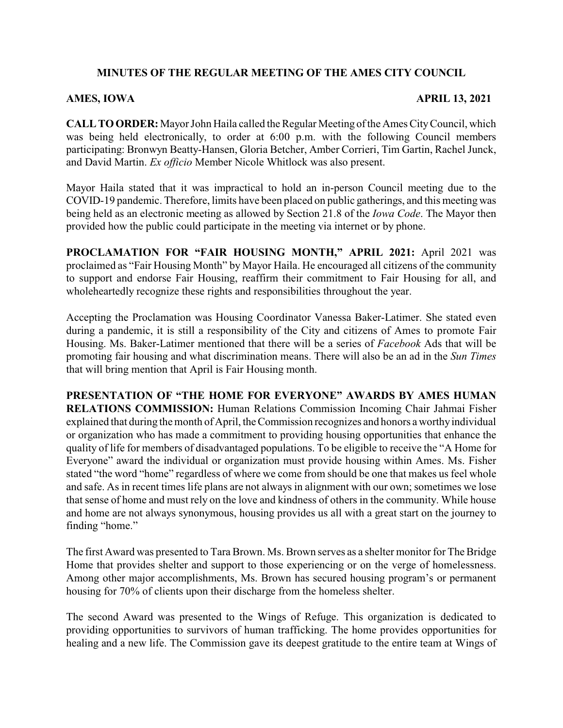# **MINUTES OF THE REGULAR MEETING OF THE AMES CITY COUNCIL**

### **AMES, IOWA APRIL 13, 2021**

**CALL TO ORDER:** Mayor John Haila called the Regular Meeting of the Ames City Council, which was being held electronically, to order at 6:00 p.m. with the following Council members participating: Bronwyn Beatty-Hansen, Gloria Betcher, Amber Corrieri, Tim Gartin, Rachel Junck, and David Martin. *Ex officio* Member Nicole Whitlock was also present.

Mayor Haila stated that it was impractical to hold an in-person Council meeting due to the COVID-19 pandemic. Therefore, limits have been placed on public gatherings, and this meeting was being held as an electronic meeting as allowed by Section 21.8 of the *Iowa Code*. The Mayor then provided how the public could participate in the meeting via internet or by phone.

**PROCLAMATION FOR "FAIR HOUSING MONTH," APRIL 2021:** April 2021 was proclaimed as "Fair Housing Month" by Mayor Haila. He encouraged all citizens of the community to support and endorse Fair Housing, reaffirm their commitment to Fair Housing for all, and wholeheartedly recognize these rights and responsibilities throughout the year.

Accepting the Proclamation was Housing Coordinator Vanessa Baker-Latimer. She stated even during a pandemic, it is still a responsibility of the City and citizens of Ames to promote Fair Housing. Ms. Baker-Latimer mentioned that there will be a series of *Facebook* Ads that will be promoting fair housing and what discrimination means. There will also be an ad in the *Sun Times* that will bring mention that April is Fair Housing month.

**PRESENTATION OF "THE HOME FOR EVERYONE" AWARDS BY AMES HUMAN RELATIONS COMMISSION:** Human Relations Commission Incoming Chair Jahmai Fisher explained that during the month of April, the Commission recognizes and honors a worthyindividual or organization who has made a commitment to providing housing opportunities that enhance the quality of life for members of disadvantaged populations. To be eligible to receive the "A Home for Everyone" award the individual or organization must provide housing within Ames. Ms. Fisher stated "the word "home" regardless of where we come from should be one that makes us feel whole and safe. As in recent times life plans are not always in alignment with our own; sometimes we lose that sense of home and must rely on the love and kindness of others in the community. While house and home are not always synonymous, housing provides us all with a great start on the journey to finding "home."

The first Award was presented to Tara Brown. Ms. Brown serves as a shelter monitor for The Bridge Home that provides shelter and support to those experiencing or on the verge of homelessness. Among other major accomplishments, Ms. Brown has secured housing program's or permanent housing for 70% of clients upon their discharge from the homeless shelter.

The second Award was presented to the Wings of Refuge. This organization is dedicated to providing opportunities to survivors of human trafficking. The home provides opportunities for healing and a new life. The Commission gave its deepest gratitude to the entire team at Wings of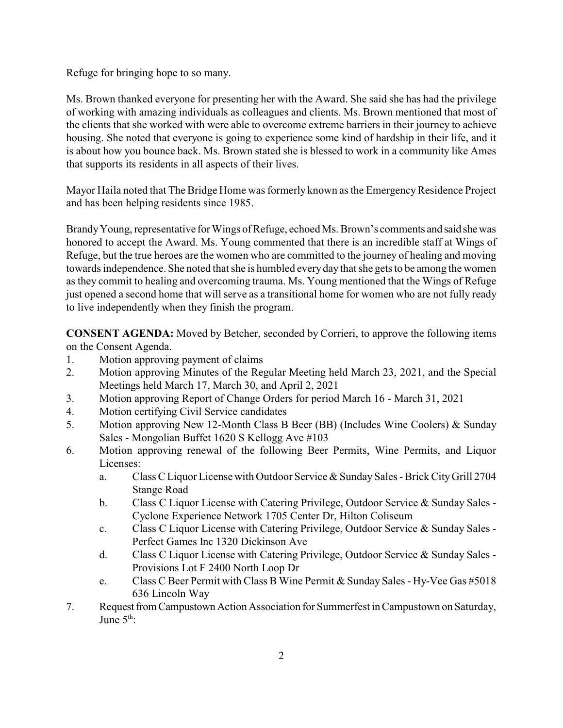Refuge for bringing hope to so many.

Ms. Brown thanked everyone for presenting her with the Award. She said she has had the privilege of working with amazing individuals as colleagues and clients. Ms. Brown mentioned that most of the clients that she worked with were able to overcome extreme barriers in their journey to achieve housing. She noted that everyone is going to experience some kind of hardship in their life, and it is about how you bounce back. Ms. Brown stated she is blessed to work in a community like Ames that supports its residents in all aspects of their lives.

Mayor Haila noted that The Bridge Home was formerly known as the Emergency Residence Project and has been helping residents since 1985.

BrandyYoung, representative for Wings of Refuge, echoed Ms. Brown's comments and said shewas honored to accept the Award. Ms. Young commented that there is an incredible staff at Wings of Refuge, but the true heroes are the women who are committed to the journey of healing and moving towards independence. She noted that she is humbled everyday that she gets to be among the women as they commit to healing and overcoming trauma. Ms. Young mentioned that the Wings of Refuge just opened a second home that will serve as a transitional home for women who are not fully ready to live independently when they finish the program.

**CONSENT AGENDA:** Moved by Betcher, seconded by Corrieri, to approve the following items on the Consent Agenda.

- 1. Motion approving payment of claims
- 2. Motion approving Minutes of the Regular Meeting held March 23, 2021, and the Special Meetings held March 17, March 30, and April 2, 2021
- 3. Motion approving Report of Change Orders for period March 16 March 31, 2021
- 4. Motion certifying Civil Service candidates
- 5. Motion approving New 12-Month Class B Beer (BB) (Includes Wine Coolers) & Sunday Sales - Mongolian Buffet 1620 S Kellogg Ave #103
- 6. Motion approving renewal of the following Beer Permits, Wine Permits, and Liquor Licenses:
	- a. Class C Liquor License with Outdoor Service & Sunday Sales Brick CityGrill 2704 Stange Road
	- b. Class C Liquor License with Catering Privilege, Outdoor Service & Sunday Sales Cyclone Experience Network 1705 Center Dr, Hilton Coliseum
	- c. Class C Liquor License with Catering Privilege, Outdoor Service & Sunday Sales Perfect Games Inc 1320 Dickinson Ave
	- d. Class C Liquor License with Catering Privilege, Outdoor Service & Sunday Sales Provisions Lot F 2400 North Loop Dr
	- e. Class C Beer Permit with Class B Wine Permit & Sunday Sales Hy-Vee Gas #5018 636 Lincoln Way
- 7. Request from Campustown Action Association for Summerfest in Campustown on Saturday, Inne  $5<sup>th</sup>$ :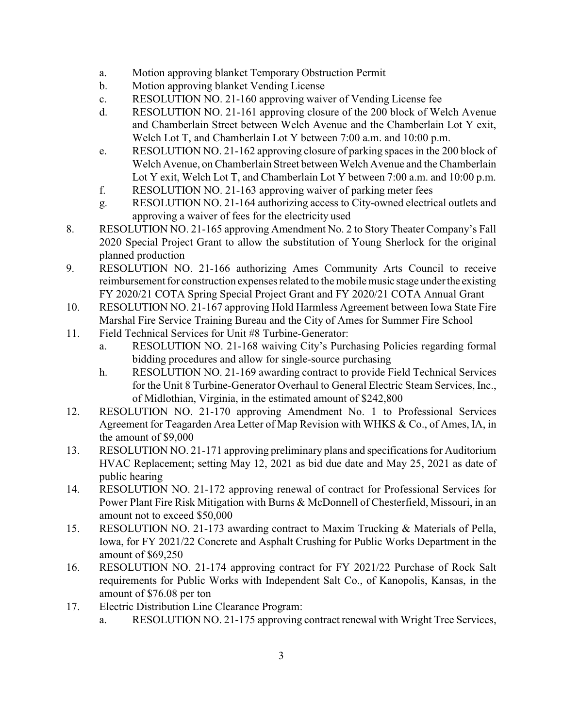- a. Motion approving blanket Temporary Obstruction Permit
- b. Motion approving blanket Vending License
- c. RESOLUTION NO. 21-160 approving waiver of Vending License fee
- d. RESOLUTION NO. 21-161 approving closure of the 200 block of Welch Avenue and Chamberlain Street between Welch Avenue and the Chamberlain Lot Y exit, Welch Lot T, and Chamberlain Lot Y between 7:00 a.m. and 10:00 p.m.
- e. RESOLUTION NO. 21-162 approving closure of parking spaces in the 200 block of Welch Avenue, on Chamberlain Street between Welch Avenue and the Chamberlain Lot Y exit, Welch Lot T, and Chamberlain Lot Y between 7:00 a.m. and 10:00 p.m.
- f. RESOLUTION NO. 21-163 approving waiver of parking meter fees
- g. RESOLUTION NO. 21-164 authorizing access to City-owned electrical outlets and approving a waiver of fees for the electricity used
- 8. RESOLUTION NO. 21-165 approving Amendment No. 2 to Story Theater Company's Fall 2020 Special Project Grant to allow the substitution of Young Sherlock for the original planned production
- 9. RESOLUTION NO. 21-166 authorizing Ames Community Arts Council to receive reimbursement for construction expenses related to the mobile music stage underthe existing FY 2020/21 COTA Spring Special Project Grant and FY 2020/21 COTA Annual Grant
- 10. RESOLUTION NO. 21-167 approving Hold Harmless Agreement between Iowa State Fire Marshal Fire Service Training Bureau and the City of Ames for Summer Fire School
- 11. Field Technical Services for Unit #8 Turbine-Generator:
	- a. RESOLUTION NO. 21-168 waiving City's Purchasing Policies regarding formal bidding procedures and allow for single-source purchasing
	- h. RESOLUTION NO. 21-169 awarding contract to provide Field Technical Services for the Unit 8 Turbine-Generator Overhaul to General Electric Steam Services, Inc., of Midlothian, Virginia, in the estimated amount of \$242,800
- 12. RESOLUTION NO. 21-170 approving Amendment No. 1 to Professional Services Agreement for Teagarden Area Letter of Map Revision with WHKS & Co., of Ames, IA, in the amount of \$9,000
- 13. RESOLUTION NO. 21-171 approving preliminary plans and specifications for Auditorium HVAC Replacement; setting May 12, 2021 as bid due date and May 25, 2021 as date of public hearing
- 14. RESOLUTION NO. 21-172 approving renewal of contract for Professional Services for Power Plant Fire Risk Mitigation with Burns & McDonnell of Chesterfield, Missouri, in an amount not to exceed \$50,000
- 15. RESOLUTION NO. 21-173 awarding contract to Maxim Trucking & Materials of Pella, Iowa, for FY 2021/22 Concrete and Asphalt Crushing for Public Works Department in the amount of \$69,250
- 16. RESOLUTION NO. 21-174 approving contract for FY 2021/22 Purchase of Rock Salt requirements for Public Works with Independent Salt Co., of Kanopolis, Kansas, in the amount of \$76.08 per ton
- 17. Electric Distribution Line Clearance Program:
	- a. RESOLUTION NO. 21-175 approving contract renewal with Wright Tree Services,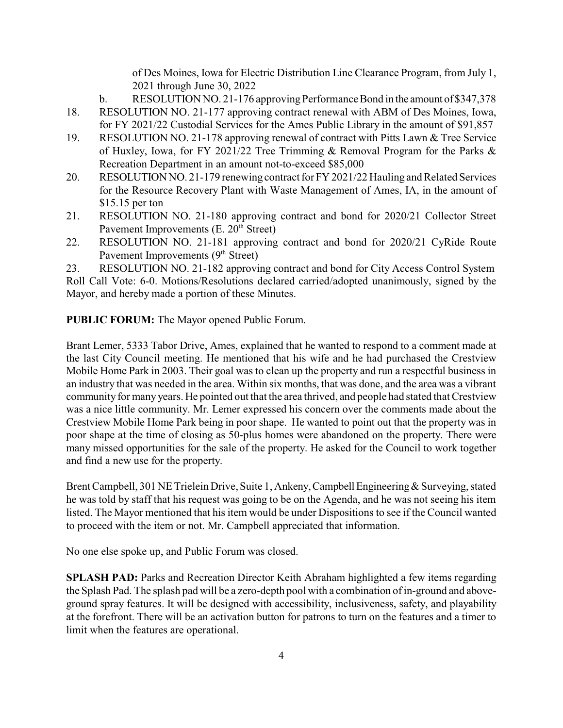of Des Moines, Iowa for Electric Distribution Line Clearance Program, from July 1, 2021 through June 30, 2022

- b. RESOLUTION NO. 21-176 approving Performance Bond in the amount of \$347,378
- 18. RESOLUTION NO. 21-177 approving contract renewal with ABM of Des Moines, Iowa, for FY 2021/22 Custodial Services for the Ames Public Library in the amount of \$91,857
- 19. RESOLUTION NO. 21-178 approving renewal of contract with Pitts Lawn & Tree Service of Huxley, Iowa, for FY 2021/22 Tree Trimming & Removal Program for the Parks & Recreation Department in an amount not-to-exceed \$85,000
- 20. RESOLUTION NO. 21-179 renewing contract for FY 2021/22 Hauling and Related Services for the Resource Recovery Plant with Waste Management of Ames, IA, in the amount of \$15.15 per ton
- 21. RESOLUTION NO. 21-180 approving contract and bond for 2020/21 Collector Street Pavement Improvements (E. 20<sup>th</sup> Street)
- 22. RESOLUTION NO. 21-181 approving contract and bond for 2020/21 CyRide Route Pavement Improvements (9<sup>th</sup> Street)

23. RESOLUTION NO. 21-182 approving contract and bond for City Access Control System Roll Call Vote: 6-0. Motions/Resolutions declared carried/adopted unanimously, signed by the Mayor, and hereby made a portion of these Minutes.

**PUBLIC FORUM:** The Mayor opened Public Forum.

Brant Lemer, 5333 Tabor Drive, Ames, explained that he wanted to respond to a comment made at the last City Council meeting. He mentioned that his wife and he had purchased the Crestview Mobile Home Park in 2003. Their goal was to clean up the property and run a respectful business in an industry that was needed in the area. Within six months, that was done, and the area was a vibrant community for many years. He pointed out that the area thrived, and people had stated that Crestview was a nice little community. Mr. Lemer expressed his concern over the comments made about the Crestview Mobile Home Park being in poor shape. He wanted to point out that the property was in poor shape at the time of closing as 50-plus homes were abandoned on the property. There were many missed opportunities for the sale of the property. He asked for the Council to work together and find a new use for the property.

Brent Campbell, 301 NE Trielein Drive, Suite 1, Ankeny, Campbell Engineering & Surveying, stated he was told by staff that his request was going to be on the Agenda, and he was not seeing his item listed. The Mayor mentioned that his item would be under Dispositions to see if the Council wanted to proceed with the item or not. Mr. Campbell appreciated that information.

No one else spoke up, and Public Forum was closed.

**SPLASH PAD:** Parks and Recreation Director Keith Abraham highlighted a few items regarding the Splash Pad. The splash pad will be a zero-depth pool with a combination of in-ground and aboveground spray features. It will be designed with accessibility, inclusiveness, safety, and playability at the forefront. There will be an activation button for patrons to turn on the features and a timer to limit when the features are operational.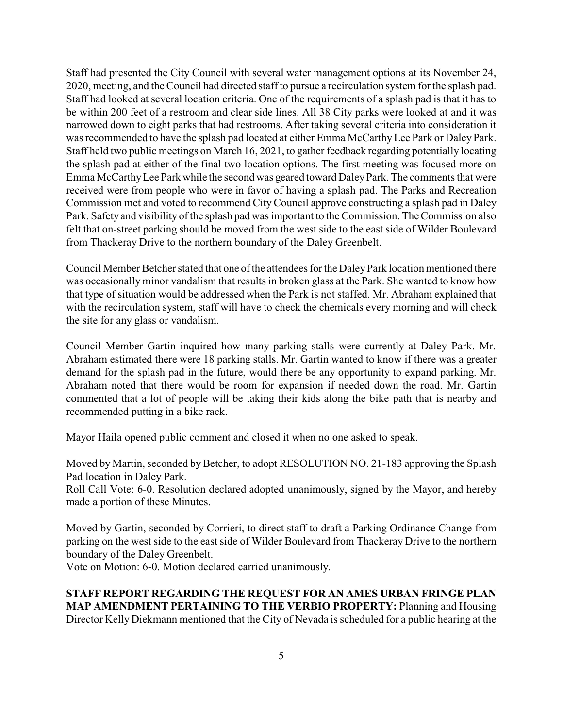Staff had presented the City Council with several water management options at its November 24, 2020, meeting, and the Council had directed staff to pursue a recirculation system for the splash pad. Staff had looked at several location criteria. One of the requirements of a splash pad is that it has to be within 200 feet of a restroom and clear side lines. All 38 City parks were looked at and it was narrowed down to eight parks that had restrooms. After taking several criteria into consideration it was recommended to have the splash pad located at either Emma McCarthy Lee Park or Daley Park. Staff held two public meetings on March 16, 2021, to gather feedback regarding potentially locating the splash pad at either of the final two location options. The first meeting was focused more on Emma McCarthyLee Park while the second was geared toward DaleyPark. The comments that were received were from people who were in favor of having a splash pad. The Parks and Recreation Commission met and voted to recommend City Council approve constructing a splash pad in Daley Park. Safetyand visibility of the splash pad was important to the Commission. The Commission also felt that on-street parking should be moved from the west side to the east side of Wilder Boulevard from Thackeray Drive to the northern boundary of the Daley Greenbelt.

Council Member Betcher stated that one of the attendees for the Daley Park location mentioned there was occasionally minor vandalism that results in broken glass at the Park. She wanted to know how that type of situation would be addressed when the Park is not staffed. Mr. Abraham explained that with the recirculation system, staff will have to check the chemicals every morning and will check the site for any glass or vandalism.

Council Member Gartin inquired how many parking stalls were currently at Daley Park. Mr. Abraham estimated there were 18 parking stalls. Mr. Gartin wanted to know if there was a greater demand for the splash pad in the future, would there be any opportunity to expand parking. Mr. Abraham noted that there would be room for expansion if needed down the road. Mr. Gartin commented that a lot of people will be taking their kids along the bike path that is nearby and recommended putting in a bike rack.

Mayor Haila opened public comment and closed it when no one asked to speak.

Moved by Martin, seconded by Betcher, to adopt RESOLUTION NO. 21-183 approving the Splash Pad location in Daley Park.

Roll Call Vote: 6-0. Resolution declared adopted unanimously, signed by the Mayor, and hereby made a portion of these Minutes.

Moved by Gartin, seconded by Corrieri, to direct staff to draft a Parking Ordinance Change from parking on the west side to the east side of Wilder Boulevard from Thackeray Drive to the northern boundary of the Daley Greenbelt.

Vote on Motion: 6-0. Motion declared carried unanimously.

**STAFF REPORT REGARDING THE REQUEST FOR AN AMES URBAN FRINGE PLAN MAP AMENDMENT PERTAINING TO THE VERBIO PROPERTY:** Planning and Housing Director Kelly Diekmann mentioned that the City of Nevada is scheduled for a public hearing at the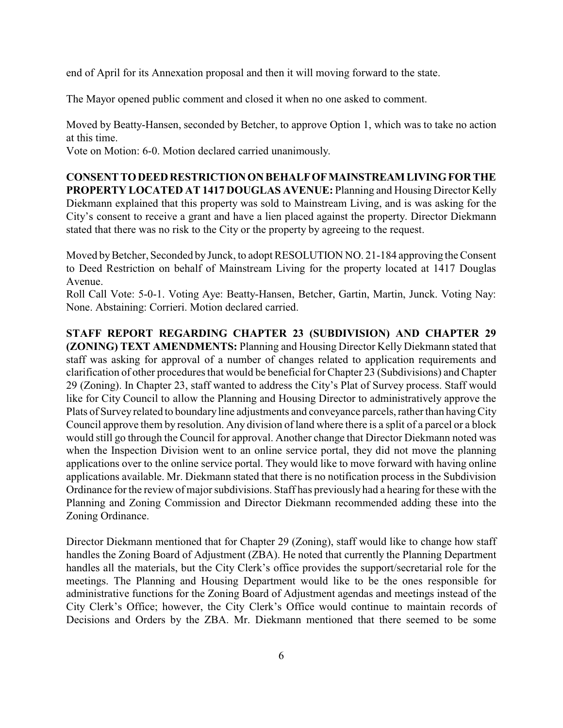end of April for its Annexation proposal and then it will moving forward to the state.

The Mayor opened public comment and closed it when no one asked to comment.

Moved by Beatty-Hansen, seconded by Betcher, to approve Option 1, which was to take no action at this time.

Vote on Motion: 6-0. Motion declared carried unanimously.

**CONSENTTODEEDRESTRICTIONONBEHALFOFMAINSTREAMLIVINGFOR THE PROPERTY LOCATED AT 1417 DOUGLAS AVENUE:** Planning and Housing Director Kelly Diekmann explained that this property was sold to Mainstream Living, and is was asking for the City's consent to receive a grant and have a lien placed against the property. Director Diekmann stated that there was no risk to the City or the property by agreeing to the request.

Moved by Betcher, Seconded by Junck, to adopt RESOLUTION NO. 21-184 approving the Consent to Deed Restriction on behalf of Mainstream Living for the property located at 1417 Douglas Avenue.

Roll Call Vote: 5-0-1. Voting Aye: Beatty-Hansen, Betcher, Gartin, Martin, Junck. Voting Nay: None. Abstaining: Corrieri. Motion declared carried.

# **STAFF REPORT REGARDING CHAPTER 23 (SUBDIVISION) AND CHAPTER 29 (ZONING) TEXT AMENDMENTS:** Planning and Housing Director Kelly Diekmann stated that staff was asking for approval of a number of changes related to application requirements and clarification of other procedures that would be beneficial for Chapter 23 (Subdivisions) and Chapter 29 (Zoning). In Chapter 23, staff wanted to address the City's Plat of Survey process. Staff would like for City Council to allow the Planning and Housing Director to administratively approve the Plats of Survey related to boundaryline adjustments and conveyance parcels, rather than havingCity Council approve them by resolution. Any division of land where there is a split of a parcel or a block would still go through the Council for approval. Another change that Director Diekmann noted was when the Inspection Division went to an online service portal, they did not move the planning applications over to the online service portal. They would like to move forward with having online applications available. Mr. Diekmann stated that there is no notification process in the Subdivision Ordinance for the review of major subdivisions. Staff has previously had a hearing for these with the Planning and Zoning Commission and Director Diekmann recommended adding these into the Zoning Ordinance.

Director Diekmann mentioned that for Chapter 29 (Zoning), staff would like to change how staff handles the Zoning Board of Adjustment (ZBA). He noted that currently the Planning Department handles all the materials, but the City Clerk's office provides the support/secretarial role for the meetings. The Planning and Housing Department would like to be the ones responsible for administrative functions for the Zoning Board of Adjustment agendas and meetings instead of the City Clerk's Office; however, the City Clerk's Office would continue to maintain records of Decisions and Orders by the ZBA. Mr. Diekmann mentioned that there seemed to be some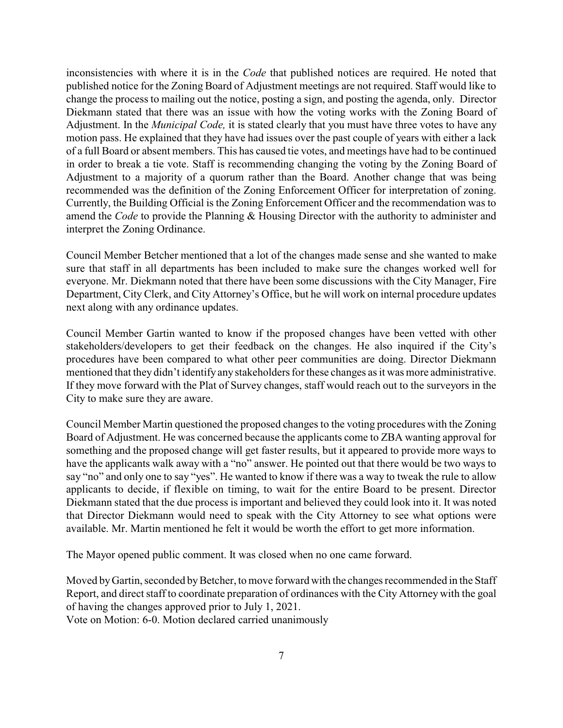inconsistencies with where it is in the *Code* that published notices are required. He noted that published notice for the Zoning Board of Adjustment meetings are not required. Staff would like to change the process to mailing out the notice, posting a sign, and posting the agenda, only. Director Diekmann stated that there was an issue with how the voting works with the Zoning Board of Adjustment. In the *Municipal Code,* it is stated clearly that you must have three votes to have any motion pass. He explained that they have had issues over the past couple of years with either a lack of a full Board or absent members. This has caused tie votes, and meetings have had to be continued in order to break a tie vote. Staff is recommending changing the voting by the Zoning Board of Adjustment to a majority of a quorum rather than the Board. Another change that was being recommended was the definition of the Zoning Enforcement Officer for interpretation of zoning. Currently, the Building Official is the Zoning Enforcement Officer and the recommendation was to amend the *Code* to provide the Planning & Housing Director with the authority to administer and interpret the Zoning Ordinance.

Council Member Betcher mentioned that a lot of the changes made sense and she wanted to make sure that staff in all departments has been included to make sure the changes worked well for everyone. Mr. Diekmann noted that there have been some discussions with the City Manager, Fire Department, City Clerk, and City Attorney's Office, but he will work on internal procedure updates next along with any ordinance updates.

Council Member Gartin wanted to know if the proposed changes have been vetted with other stakeholders/developers to get their feedback on the changes. He also inquired if the City's procedures have been compared to what other peer communities are doing. Director Diekmann mentioned that they didn't identify any stakeholders for these changes as it was more administrative. If they move forward with the Plat of Survey changes, staff would reach out to the surveyors in the City to make sure they are aware.

Council Member Martin questioned the proposed changes to the voting procedures with the Zoning Board of Adjustment. He was concerned because the applicants come to ZBA wanting approval for something and the proposed change will get faster results, but it appeared to provide more ways to have the applicants walk away with a "no" answer. He pointed out that there would be two ways to say "no" and only one to say "yes". He wanted to know if there was a way to tweak the rule to allow applicants to decide, if flexible on timing, to wait for the entire Board to be present. Director Diekmann stated that the due process is important and believed they could look into it. It was noted that Director Diekmann would need to speak with the City Attorney to see what options were available. Mr. Martin mentioned he felt it would be worth the effort to get more information.

The Mayor opened public comment. It was closed when no one came forward.

Moved by Gartin, seconded by Betcher, to move forward with the changes recommended in the Staff Report, and direct staff to coordinate preparation of ordinances with the City Attorney with the goal of having the changes approved prior to July 1, 2021.

Vote on Motion: 6-0. Motion declared carried unanimously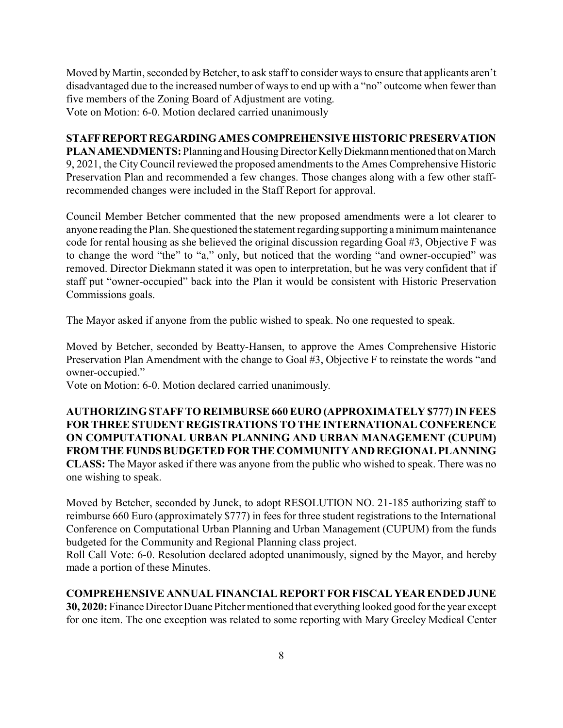Moved by Martin, seconded by Betcher, to ask staff to consider ways to ensure that applicants aren't disadvantaged due to the increased number of ways to end up with a "no" outcome when fewer than five members of the Zoning Board of Adjustment are voting. Vote on Motion: 6-0. Motion declared carried unanimously

#### **STAFFREPORTREGARDINGAMES COMPREHENSIVE HISTORIC PRESERVATION**

PLAN AMENDMENTS: Planning and Housing Director Kelly Diekmann mentioned that on March 9, 2021, the CityCouncil reviewed the proposed amendments to the Ames Comprehensive Historic Preservation Plan and recommended a few changes. Those changes along with a few other staffrecommended changes were included in the Staff Report for approval.

Council Member Betcher commented that the new proposed amendments were a lot clearer to anyone reading the Plan. She questioned the statement regarding supporting a minimum maintenance code for rental housing as she believed the original discussion regarding Goal #3, Objective F was to change the word "the" to "a," only, but noticed that the wording "and owner-occupied" was removed. Director Diekmann stated it was open to interpretation, but he was very confident that if staff put "owner-occupied" back into the Plan it would be consistent with Historic Preservation Commissions goals.

The Mayor asked if anyone from the public wished to speak. No one requested to speak.

Moved by Betcher, seconded by Beatty-Hansen, to approve the Ames Comprehensive Historic Preservation Plan Amendment with the change to Goal #3, Objective F to reinstate the words "and owner-occupied."

Vote on Motion: 6-0. Motion declared carried unanimously.

**AUTHORIZINGSTAFFTO REIMBURSE 660 EURO (APPROXIMATELY \$777) IN FEES FOR THREE STUDENT REGISTRATIONS TO THE INTERNATIONAL CONFERENCE ON COMPUTATIONAL URBAN PLANNING AND URBAN MANAGEMENT (CUPUM)** FROM THE FUNDS BUDGETED FOR THE COMMUNITY AND REGIONAL PLANNING **CLASS:** The Mayor asked if there was anyone from the public who wished to speak. There was no one wishing to speak.

Moved by Betcher, seconded by Junck, to adopt RESOLUTION NO. 21-185 authorizing staff to reimburse 660 Euro (approximately \$777) in fees for three student registrations to the International Conference on Computational Urban Planning and Urban Management (CUPUM) from the funds budgeted for the Community and Regional Planning class project.

Roll Call Vote: 6-0. Resolution declared adopted unanimously, signed by the Mayor, and hereby made a portion of these Minutes.

# **COMPREHENSIVE ANNUAL FINANCIAL REPORT FOR FISCAL YEAR ENDED JUNE**

**30, 2020:** Finance Director Duane Pitcher mentioned that everything looked good for the year except for one item. The one exception was related to some reporting with Mary Greeley Medical Center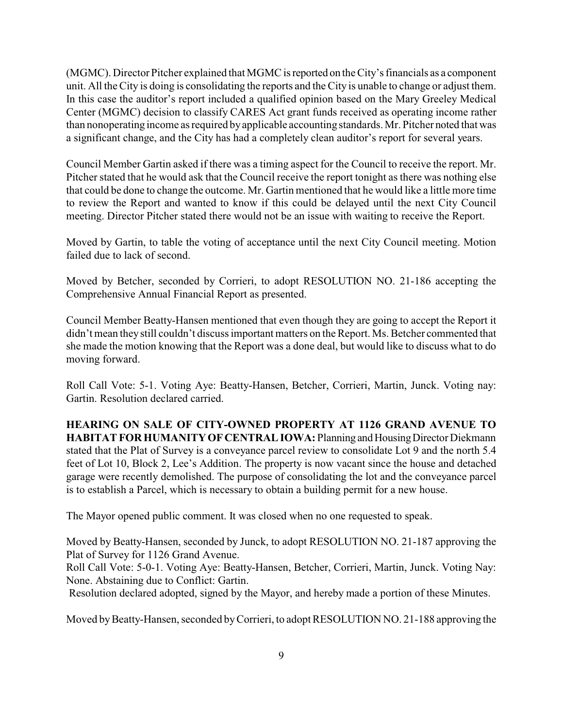(MGMC). Director Pitcher explained that MGMC isreported on the City's financials as a component unit. All the City is doing is consolidating the reports and the City is unable to change or adjust them. In this case the auditor's report included a qualified opinion based on the Mary Greeley Medical Center (MGMC) decision to classify CARES Act grant funds received as operating income rather than nonoperating income as required byapplicable accounting standards. Mr. Pitcher noted that was a significant change, and the City has had a completely clean auditor's report for several years.

Council Member Gartin asked if there was a timing aspect for the Council to receive the report. Mr. Pitcher stated that he would ask that the Council receive the report tonight as there was nothing else that could be done to change the outcome. Mr. Gartin mentioned that he would like a little more time to review the Report and wanted to know if this could be delayed until the next City Council meeting. Director Pitcher stated there would not be an issue with waiting to receive the Report.

Moved by Gartin, to table the voting of acceptance until the next City Council meeting. Motion failed due to lack of second.

Moved by Betcher, seconded by Corrieri, to adopt RESOLUTION NO. 21-186 accepting the Comprehensive Annual Financial Report as presented.

Council Member Beatty-Hansen mentioned that even though they are going to accept the Report it didn't mean they still couldn't discuss important matters on the Report. Ms. Betcher commented that she made the motion knowing that the Report was a done deal, but would like to discuss what to do moving forward.

Roll Call Vote: 5-1. Voting Aye: Beatty-Hansen, Betcher, Corrieri, Martin, Junck. Voting nay: Gartin. Resolution declared carried.

**HEARING ON SALE OF CITY-OWNED PROPERTY AT 1126 GRAND AVENUE TO HABITAT FOR HUMANITY OF CENTRAL IOWA: Planning and Housing Director Diekmann** stated that the Plat of Survey is a conveyance parcel review to consolidate Lot 9 and the north 5.4 feet of Lot 10, Block 2, Lee's Addition. The property is now vacant since the house and detached garage were recently demolished. The purpose of consolidating the lot and the conveyance parcel is to establish a Parcel, which is necessary to obtain a building permit for a new house.

The Mayor opened public comment. It was closed when no one requested to speak.

Moved by Beatty-Hansen, seconded by Junck, to adopt RESOLUTION NO. 21-187 approving the Plat of Survey for 1126 Grand Avenue.

Roll Call Vote: 5-0-1. Voting Aye: Beatty-Hansen, Betcher, Corrieri, Martin, Junck. Voting Nay: None. Abstaining due to Conflict: Gartin.

Resolution declared adopted, signed by the Mayor, and hereby made a portion of these Minutes.

Moved by Beatty-Hansen, seconded by Corrieri, to adopt RESOLUTION NO. 21-188 approving the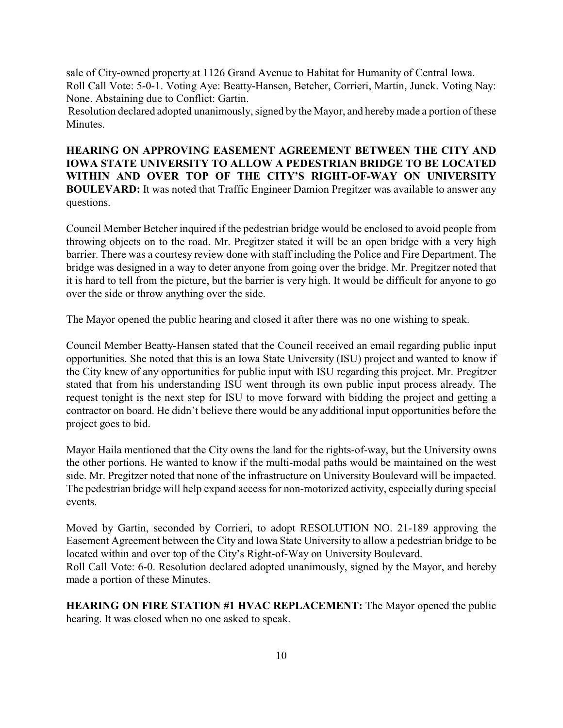sale of City-owned property at 1126 Grand Avenue to Habitat for Humanity of Central Iowa. Roll Call Vote: 5-0-1. Voting Aye: Beatty-Hansen, Betcher, Corrieri, Martin, Junck. Voting Nay: None. Abstaining due to Conflict: Gartin.

Resolution declared adopted unanimously, signed by the Mayor, and herebymade a portion of these **Minutes** 

**HEARING ON APPROVING EASEMENT AGREEMENT BETWEEN THE CITY AND IOWA STATE UNIVERSITY TO ALLOW A PEDESTRIAN BRIDGE TO BE LOCATED WITHIN AND OVER TOP OF THE CITY'S RIGHT-OF-WAY ON UNIVERSITY BOULEVARD:** It was noted that Traffic Engineer Damion Pregitzer was available to answer any questions.

Council Member Betcher inquired if the pedestrian bridge would be enclosed to avoid people from throwing objects on to the road. Mr. Pregitzer stated it will be an open bridge with a very high barrier. There was a courtesy review done with staff including the Police and Fire Department. The bridge was designed in a way to deter anyone from going over the bridge. Mr. Pregitzer noted that it is hard to tell from the picture, but the barrier is very high. It would be difficult for anyone to go over the side or throw anything over the side.

The Mayor opened the public hearing and closed it after there was no one wishing to speak.

Council Member Beatty-Hansen stated that the Council received an email regarding public input opportunities. She noted that this is an Iowa State University (ISU) project and wanted to know if the City knew of any opportunities for public input with ISU regarding this project. Mr. Pregitzer stated that from his understanding ISU went through its own public input process already. The request tonight is the next step for ISU to move forward with bidding the project and getting a contractor on board. He didn't believe there would be any additional input opportunities before the project goes to bid.

Mayor Haila mentioned that the City owns the land for the rights-of-way, but the University owns the other portions. He wanted to know if the multi-modal paths would be maintained on the west side. Mr. Pregitzer noted that none of the infrastructure on University Boulevard will be impacted. The pedestrian bridge will help expand access for non-motorized activity, especially during special events.

Moved by Gartin, seconded by Corrieri, to adopt RESOLUTION NO. 21-189 approving the Easement Agreement between the City and Iowa State University to allow a pedestrian bridge to be located within and over top of the City's Right-of-Way on University Boulevard. Roll Call Vote: 6-0. Resolution declared adopted unanimously, signed by the Mayor, and hereby made a portion of these Minutes.

**HEARING ON FIRE STATION #1 HVAC REPLACEMENT:** The Mayor opened the public hearing. It was closed when no one asked to speak.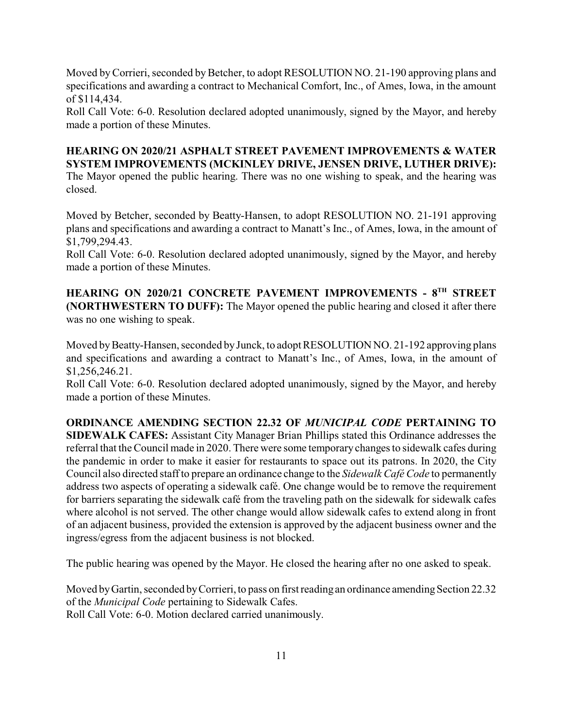Moved by Corrieri, seconded by Betcher, to adopt RESOLUTION NO. 21-190 approving plans and specifications and awarding a contract to Mechanical Comfort, Inc., of Ames, Iowa, in the amount of \$114,434.

Roll Call Vote: 6-0. Resolution declared adopted unanimously, signed by the Mayor, and hereby made a portion of these Minutes.

### **HEARING ON 2020/21 ASPHALT STREET PAVEMENT IMPROVEMENTS & WATER SYSTEM IMPROVEMENTS (MCKINLEY DRIVE, JENSEN DRIVE, LUTHER DRIVE):**  The Mayor opened the public hearing. There was no one wishing to speak, and the hearing was

closed.

Moved by Betcher, seconded by Beatty-Hansen, to adopt RESOLUTION NO. 21-191 approving plans and specifications and awarding a contract to Manatt's Inc., of Ames, Iowa, in the amount of \$1,799,294.43.

Roll Call Vote: 6-0. Resolution declared adopted unanimously, signed by the Mayor, and hereby made a portion of these Minutes.

**HEARING ON 2020/21 CONCRETE PAVEMENT IMPROVEMENTS - 8 TH STREET (NORTHWESTERN TO DUFF):** The Mayor opened the public hearing and closed it after there was no one wishing to speak.

Moved by Beatty-Hansen, seconded by Junck, to adopt RESOLUTION NO. 21-192 approving plans and specifications and awarding a contract to Manatt's Inc., of Ames, Iowa, in the amount of \$1,256,246.21.

Roll Call Vote: 6-0. Resolution declared adopted unanimously, signed by the Mayor, and hereby made a portion of these Minutes.

**ORDINANCE AMENDING SECTION 22.32 OF** *MUNICIPAL CODE* **PERTAINING TO SIDEWALK CAFES:** Assistant City Manager Brian Phillips stated this Ordinance addresses the referral that the Council made in 2020. There were some temporary changes to sidewalk cafes during the pandemic in order to make it easier for restaurants to space out its patrons. In 2020, the City Council also directed staffto prepare an ordinance change to the *Sidewalk Café Code* to permanently address two aspects of operating a sidewalk café. One change would be to remove the requirement for barriers separating the sidewalk café from the traveling path on the sidewalk for sidewalk cafes where alcohol is not served. The other change would allow sidewalk cafes to extend along in front of an adjacent business, provided the extension is approved by the adjacent business owner and the ingress/egress from the adjacent business is not blocked.

The public hearing was opened by the Mayor. He closed the hearing after no one asked to speak.

Moved by Gartin, seconded by Corrieri, to pass on first reading an ordinance amending Section 22.32 of the *Municipal Code* pertaining to Sidewalk Cafes. Roll Call Vote: 6-0. Motion declared carried unanimously.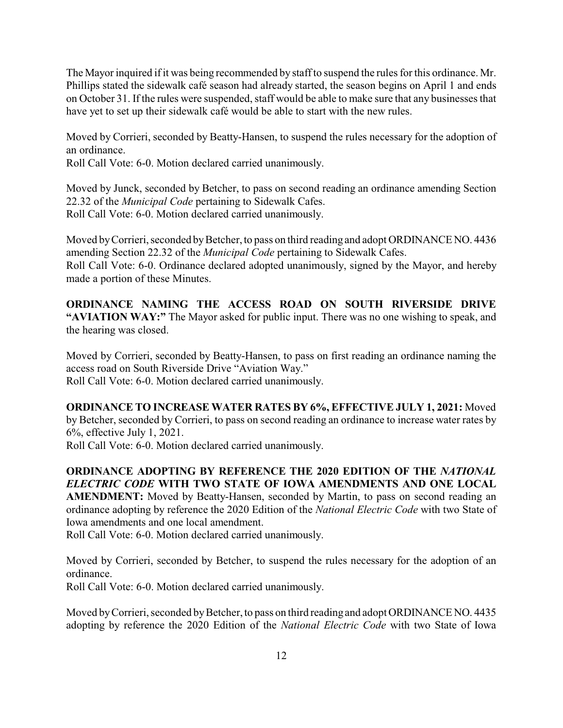The Mayor inquired if it was being recommended by staff to suspend the rules for this ordinance. Mr. Phillips stated the sidewalk café season had already started, the season begins on April 1 and ends on October 31. If the rules were suspended, staff would be able to make sure that any businesses that have yet to set up their sidewalk café would be able to start with the new rules.

Moved by Corrieri, seconded by Beatty-Hansen, to suspend the rules necessary for the adoption of an ordinance.

Roll Call Vote: 6-0. Motion declared carried unanimously.

Moved by Junck, seconded by Betcher, to pass on second reading an ordinance amending Section 22.32 of the *Municipal Code* pertaining to Sidewalk Cafes. Roll Call Vote: 6-0. Motion declared carried unanimously.

Moved by Corrieri, seconded by Betcher, to pass on third reading and adopt ORDINANCE NO. 4436 amending Section 22.32 of the *Municipal Code* pertaining to Sidewalk Cafes. Roll Call Vote: 6-0. Ordinance declared adopted unanimously, signed by the Mayor, and hereby made a portion of these Minutes.

**ORDINANCE NAMING THE ACCESS ROAD ON SOUTH RIVERSIDE DRIVE "AVIATION WAY:"** The Mayor asked for public input. There was no one wishing to speak, and the hearing was closed.

Moved by Corrieri, seconded by Beatty-Hansen, to pass on first reading an ordinance naming the access road on South Riverside Drive "Aviation Way." Roll Call Vote: 6-0. Motion declared carried unanimously.

**ORDINANCE TO INCREASE WATER RATES BY 6%, EFFECTIVE JULY 1, 2021:** Moved by Betcher, seconded by Corrieri, to pass on second reading an ordinance to increase water rates by 6%, effective July 1, 2021.

Roll Call Vote: 6-0. Motion declared carried unanimously.

**ORDINANCE ADOPTING BY REFERENCE THE 2020 EDITION OF THE** *NATIONAL ELECTRIC CODE* **WITH TWO STATE OF IOWA AMENDMENTS AND ONE LOCAL AMENDMENT:** Moved by Beatty-Hansen, seconded by Martin, to pass on second reading an ordinance adopting by reference the 2020 Edition of the *National Electric Code* with two State of Iowa amendments and one local amendment.

Roll Call Vote: 6-0. Motion declared carried unanimously.

Moved by Corrieri, seconded by Betcher, to suspend the rules necessary for the adoption of an ordinance.

Roll Call Vote: 6-0. Motion declared carried unanimously.

Moved by Corrieri, seconded by Betcher, to pass on third reading and adopt ORDINANCE NO. 4435 adopting by reference the 2020 Edition of the *National Electric Code* with two State of Iowa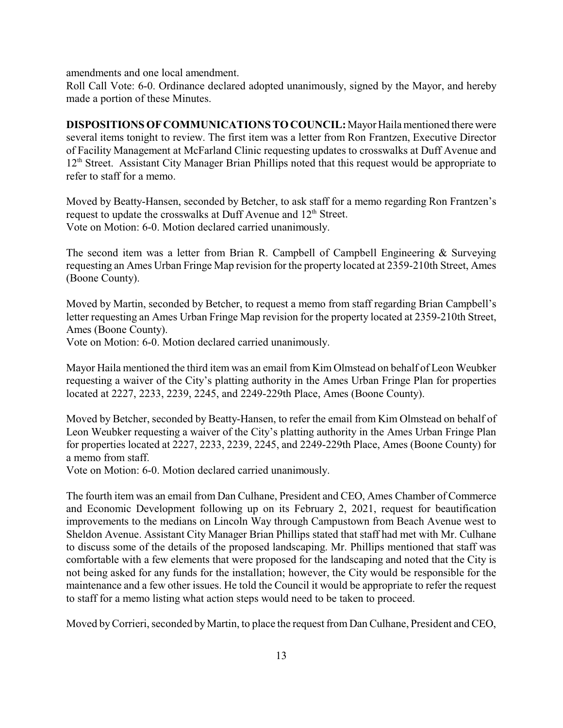amendments and one local amendment.

Roll Call Vote: 6-0. Ordinance declared adopted unanimously, signed by the Mayor, and hereby made a portion of these Minutes.

**DISPOSITIONS OF COMMUNICATIONS TO COUNCIL:** Mayor Haila mentioned there were several items tonight to review. The first item was a letter from Ron Frantzen, Executive Director of Facility Management at McFarland Clinic requesting updates to crosswalks at Duff Avenue and 12<sup>th</sup> Street. Assistant City Manager Brian Phillips noted that this request would be appropriate to refer to staff for a memo.

Moved by Beatty-Hansen, seconded by Betcher, to ask staff for a memo regarding Ron Frantzen's request to update the crosswalks at Duff Avenue and  $12<sup>th</sup>$  Street. Vote on Motion: 6-0. Motion declared carried unanimously.

The second item was a letter from Brian R. Campbell of Campbell Engineering & Surveying requesting an Ames Urban Fringe Map revision for the property located at 2359-210th Street, Ames (Boone County).

Moved by Martin, seconded by Betcher, to request a memo from staff regarding Brian Campbell's letter requesting an Ames Urban Fringe Map revision for the property located at 2359-210th Street, Ames (Boone County).

Vote on Motion: 6-0. Motion declared carried unanimously.

Mayor Haila mentioned the third item was an email from Kim Olmstead on behalf of Leon Weubker requesting a waiver of the City's platting authority in the Ames Urban Fringe Plan for properties located at 2227, 2233, 2239, 2245, and 2249-229th Place, Ames (Boone County).

Moved by Betcher, seconded by Beatty-Hansen, to refer the email from Kim Olmstead on behalf of Leon Weubker requesting a waiver of the City's platting authority in the Ames Urban Fringe Plan for properties located at 2227, 2233, 2239, 2245, and 2249-229th Place, Ames (Boone County) for a memo from staff.

Vote on Motion: 6-0. Motion declared carried unanimously.

The fourth item was an email from Dan Culhane, President and CEO, Ames Chamber of Commerce and Economic Development following up on its February 2, 2021, request for beautification improvements to the medians on Lincoln Way through Campustown from Beach Avenue west to Sheldon Avenue. Assistant City Manager Brian Phillips stated that staff had met with Mr. Culhane to discuss some of the details of the proposed landscaping. Mr. Phillips mentioned that staff was comfortable with a few elements that were proposed for the landscaping and noted that the City is not being asked for any funds for the installation; however, the City would be responsible for the maintenance and a few other issues. He told the Council it would be appropriate to refer the request to staff for a memo listing what action steps would need to be taken to proceed.

Moved byCorrieri, seconded by Martin, to place the request from Dan Culhane, President and CEO,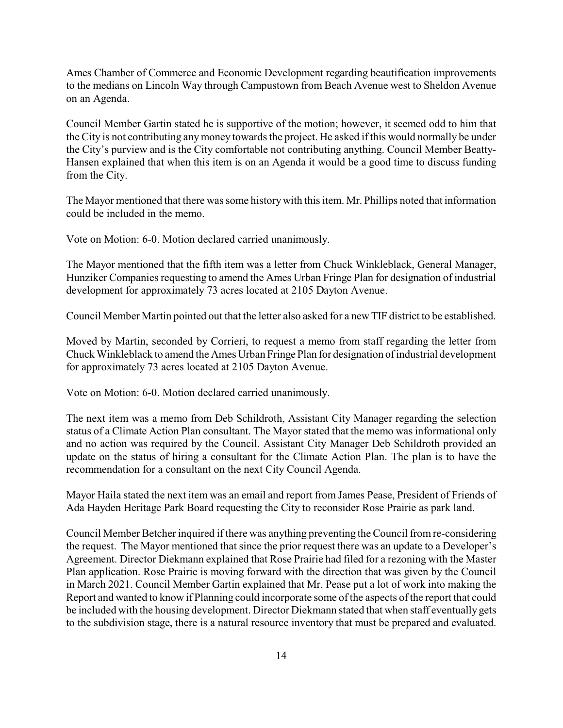Ames Chamber of Commerce and Economic Development regarding beautification improvements to the medians on Lincoln Way through Campustown from Beach Avenue west to Sheldon Avenue on an Agenda.

Council Member Gartin stated he is supportive of the motion; however, it seemed odd to him that the City is not contributing anymoney towards the project. He asked ifthis would normally be under the City's purview and is the City comfortable not contributing anything. Council Member Beatty-Hansen explained that when this item is on an Agenda it would be a good time to discuss funding from the City.

The Mayor mentioned that there was some historywith this item. Mr. Phillips noted that information could be included in the memo.

Vote on Motion: 6-0. Motion declared carried unanimously.

The Mayor mentioned that the fifth item was a letter from Chuck Winkleblack, General Manager, Hunziker Companies requesting to amend the Ames Urban Fringe Plan for designation of industrial development for approximately 73 acres located at 2105 Dayton Avenue.

Council Member Martin pointed out that the letter also asked for a new TIF district to be established.

Moved by Martin, seconded by Corrieri, to request a memo from staff regarding the letter from Chuck Winkleblack to amend the Ames Urban Fringe Plan for designation ofindustrial development for approximately 73 acres located at 2105 Dayton Avenue.

Vote on Motion: 6-0. Motion declared carried unanimously.

The next item was a memo from Deb Schildroth, Assistant City Manager regarding the selection status of a Climate Action Plan consultant. The Mayor stated that the memo was informational only and no action was required by the Council. Assistant City Manager Deb Schildroth provided an update on the status of hiring a consultant for the Climate Action Plan. The plan is to have the recommendation for a consultant on the next City Council Agenda.

Mayor Haila stated the next item was an email and report from James Pease, President of Friends of Ada Hayden Heritage Park Board requesting the City to reconsider Rose Prairie as park land.

Council Member Betcher inquired if there was anything preventing the Council from re-considering the request. The Mayor mentioned that since the prior request there was an update to a Developer's Agreement. Director Diekmann explained that Rose Prairie had filed for a rezoning with the Master Plan application. Rose Prairie is moving forward with the direction that was given by the Council in March 2021. Council Member Gartin explained that Mr. Pease put a lot of work into making the Report and wanted to know if Planning could incorporate some of the aspects of the report that could be included with the housing development. Director Diekmann stated that when staff eventually gets to the subdivision stage, there is a natural resource inventory that must be prepared and evaluated.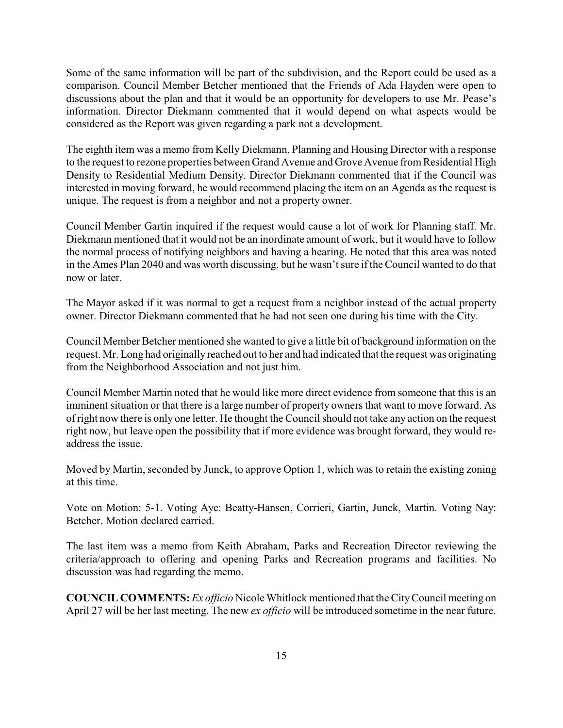Some of the same information will be part of the subdivision, and the Report could be used as a comparison. Council Member Betcher mentioned that the Friends of Ada Hayden were open to discussions about the plan and that it would be an opportunity for developers to use Mr. Pease's information. Director Diekmann commented that it would depend on what aspects would be considered as the Report was given regarding a park not a development.

The eighth item was a memo from Kelly Diekmann, Planning and Housing Director with a response to the request to rezone properties between Grand Avenue and Grove Avenue from Residential High Density to Residential Medium Density. Director Diekmann commented that if the Council was interested in moving forward, he would recommend placing the item on an Agenda as the request is unique. The request is from a neighbor and not a property owner.

Council Member Gartin inquired if the request would cause a lot of work for Planning staff. Mr. Diekmann mentioned that it would not be an inordinate amount of work, but it would have to follow the normal process of notifying neighbors and having a hearing. He noted that this area was noted in the Ames Plan 2040 and was worth discussing, but he wasn't sure if the Council wanted to do that now or later.

The Mayor asked if it was normal to get a request from a neighbor instead of the actual property owner. Director Diekmann commented that he had not seen one during his time with the City.

Council Member Betcher mentioned she wanted to give a little bit of background information on the request. Mr. Long had originally reached out to her and had indicated that the request was originating from the Neighborhood Association and not just him.

Council Member Martin noted that he would like more direct evidence from someone that this is an imminent situation or that there is a large number of property owners that want to move forward. As ofright now there is only one letter. He thought the Council should not take any action on the request right now, but leave open the possibility that if more evidence was brought forward, they would readdress the issue.

Moved by Martin, seconded by Junck, to approve Option 1, which was to retain the existing zoning at this time.

Vote on Motion: 5-1. Voting Aye: Beatty-Hansen, Corrieri, Gartin, Junck, Martin. Voting Nay: Betcher. Motion declared carried.

The last item was a memo from Keith Abraham, Parks and Recreation Director reviewing the criteria/approach to offering and opening Parks and Recreation programs and facilities. No discussion was had regarding the memo.

**COUNCIL COMMENTS:** *Ex officio* Nicole Whitlock mentioned that the CityCouncil meeting on April 27 will be her last meeting. The new *ex officio* will be introduced sometime in the near future.